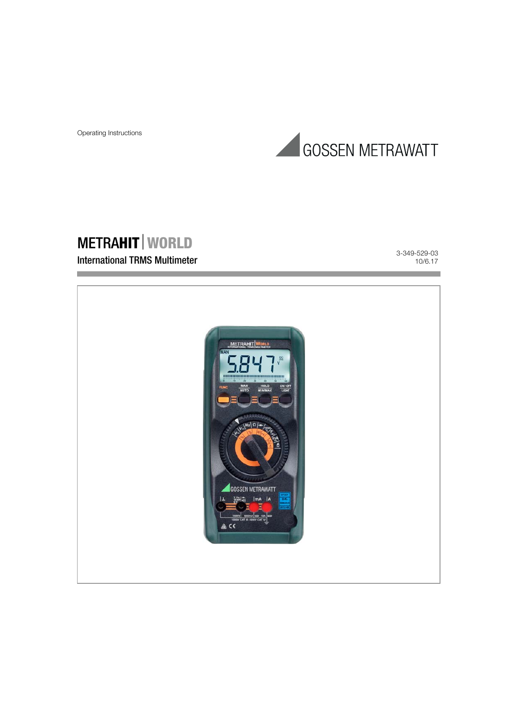

# METRAHIT WORLD

# International TRMS Multimeter

3-349-529-03 10/6.17

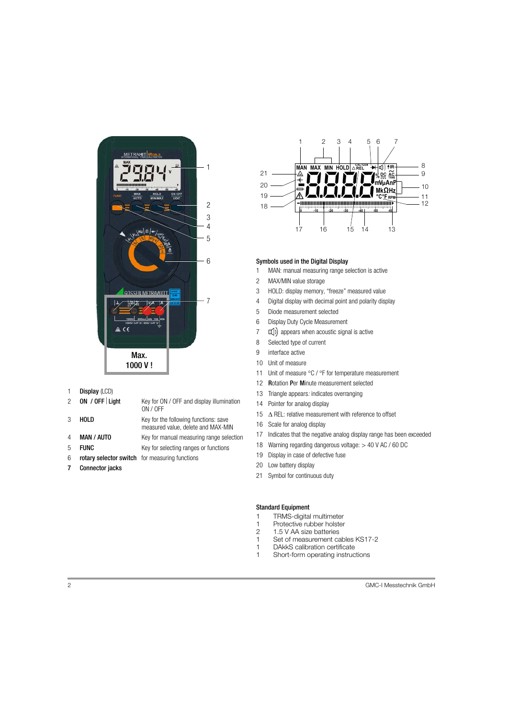

1 Display (LCD)

| $2^{\circ}$ | ON / OFF   Light  | Key for ON / OFF and display illumination<br>ON / OFF                       |
|-------------|-------------------|-----------------------------------------------------------------------------|
| 3           | HOLD              | Key for the following functions: save<br>measured value, delete and MAX-MIN |
| 4           | <b>MAN / AUTO</b> | Key for manual measuring range selection                                    |
|             |                   |                                                                             |

- 5 **FUNC** Key for selecting ranges or functions
- 6 rotary selector switch for measuring functions
- 7 Connector jacks



# Symbols used in the Digital Display

- 1 MAN: manual measuring range selection is active
- 2 MAX/MIN value storage
- 3 HOLD: display memory, "freeze" measured value
- 4 Digital display with decimal point and polarity display
- 5 Diode measurement selected
- 6 Display Duty Cycle Measurement
- $7 \Box$ ) appears when acoustic signal is active
- 8 Selected type of current
- 9 interface active
- 10 Unit of measure
- 11 Unit of measure  $\degree$ C /  $\degree$ F for temperature measurement
- 12 Rotation Per Minute measurement selected
- 13 Triangle appears: indicates overranging
- 14 Pointer for analog display
- 15  $\triangle$  REL: relative measurement with reference to offset
- 16 Scale for analog display
- 17 Indicates that the negative analog display range has been exceeded
- 18 Warning regarding dangerous voltage: > 40 V AC / 60 DC
- 19 Display in case of defective fuse
- 20 Low battery display
- 21 Symbol for continuous duty

# Standard Equipment

- 1 TRMS-digital multimeter<br>1 Protective rubber holster
- 1 Protective rubber holster<br>2 1.5 V AA size batteries
- 2 1.5 V AA size batteries
- 1 Set of measurement cables KS17-2
- 1 DAkkS calibration certificate
- 1 Short-form operating instructions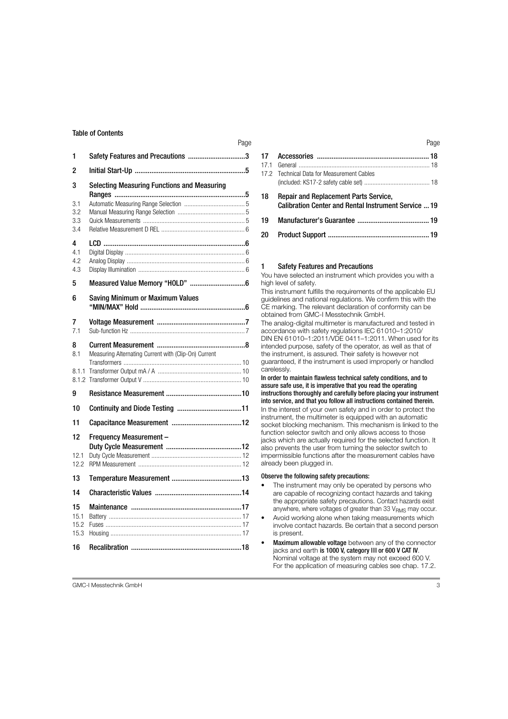| 1                             | Safety Features and Precautions 3                    |
|-------------------------------|------------------------------------------------------|
| 2                             |                                                      |
| 3<br>3.1<br>3.2<br>3.3<br>3.4 | <b>Selecting Measuring Functions and Measuring</b>   |
| 4<br>4.1<br>4.2<br>4.3        |                                                      |
| 5                             |                                                      |
| 6                             | Saving Minimum or Maximum Values                     |
| 7<br>7.1                      |                                                      |
| 8<br>8.1<br>8.1.1             | Measuring Alternating Current with (Clip-On) Current |
| g                             |                                                      |
| 10                            |                                                      |
| 11                            |                                                      |
| 12<br>12.1<br>12.2            | <b>Frequency Measurement -</b>                       |
| 13                            |                                                      |
| 14                            |                                                      |
| 15<br>15.1<br>15.2<br>15.3    |                                                      |
| 16                            |                                                      |

| 17.2 Technical Data for Measurement Cables                                                                  |  |
|-------------------------------------------------------------------------------------------------------------|--|
| <b>Repair and Replacement Parts Service,</b><br><b>Calibration Center and Rental Instrument Service  19</b> |  |
|                                                                                                             |  |
|                                                                                                             |  |
|                                                                                                             |  |

# <span id="page-2-0"></span>1 Safety Features and Precautions

You have selected an instrument which provides you with a high level of safety.

This instrument fulfills the requirements of the applicable EU guidelines and national regulations. We confirm this with the CE marking. The relevant declaration of conformity can be obtained from GMC-I Messtechnik GmbH.

The analog-digital multimeter is manufactured and tested in accordance with safety regulations IEC 61010–1:2010/ DIN EN 61010–1:2011/VDE 0411–1:2011. When used for its intended purpose, safety of the operator, as well as that of the instrument, is assured. Their safety is however not guaranteed, if the instrument is used improperly or handled carelessly.

In order to maintain flawless technical safety conditions, and to assure safe use, it is imperative that you read the operating instructions thoroughly and carefully before placing your instrument into service, and that you follow all instructions contained therein. In the interest of your own safety and in order to protect the instrument, the multimeter is equipped with an automatic socket blocking mechanism. This mechanism is linked to the function selector switch and only allows access to those jacks which are actually required for the selected function. It also prevents the user from turning the selector switch to impermissible functions after the measurement cables have already been plugged in.

#### Observe the following safety precautions:

- The instrument may only be operated by persons who are capable of recognizing contact hazards and taking the appropriate safety precautions. Contact hazards exist anywhere, where voltages of greater than 33  $V<sub>RMS</sub>$  may occur.
- Avoid working alone when taking measurements which involve contact hazards. Be certain that a second person is present.
- Maximum allowable voltage between any of the connector jacks and earth is 1000 V, category III or 600 V CAT IV. Nominal voltage at the system may not exceed 600 V. For the application of measuring cables see [chap. 17.2.](#page-17-3)

GMC-I Messtechnik GmbH 3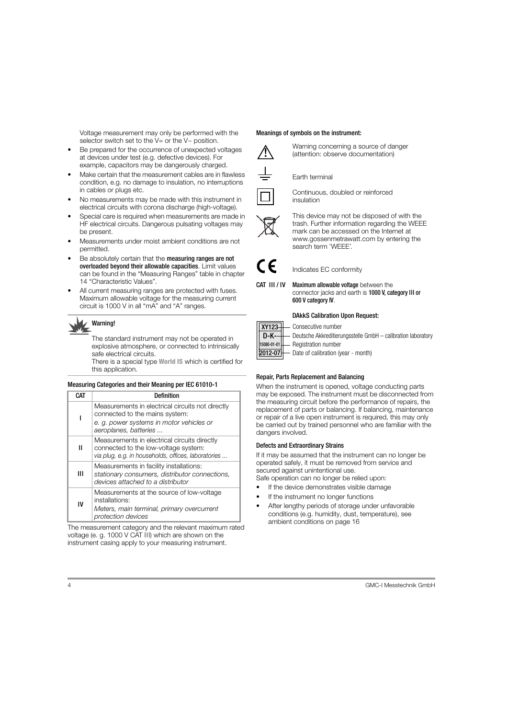Voltage measurement may only be performed with the selector switch set to the  $V=$  or the  $V\sim$  position.

- Be prepared for the occurrence of unexpected voltages at devices under test (e.g. defective devices). For example, capacitors may be dangerously charged.
- Make certain that the measurement cables are in flawless condition, e.g. no damage to insulation, no interruptions in cables or plugs etc.
- No measurements may be made with this instrument in electrical circuits with corona discharge (high-voltage).
- Special care is required when measurements are made in HF electrical circuits. Dangerous pulsating voltages may be present.
- Measurements under moist ambient conditions are not permitted.
- Be absolutely certain that the **measuring ranges are not** overloaded beyond their allowable capacities. Limit values can be found in the "Measuring Ranges" table in [chapter](#page-13-0)  [14 "Characteristic Values".](#page-13-0)
- All current measuring ranges are protected with fuses. Maximum allowable voltage for the measuring current circuit is 1000 V in all "mA" and "A" ranges.

# Warning!

The standard instrument may not be operated in explosive atmosphere, or connected to intrinsically safe electrical circuits.

There is a special type World IS which is certified for this application.

# Measuring Categories and their Meaning per IEC 61010-1

| CAT                                                                                                                                              | <b>Definition</b>                                                                                                               |  |  |  |
|--------------------------------------------------------------------------------------------------------------------------------------------------|---------------------------------------------------------------------------------------------------------------------------------|--|--|--|
|                                                                                                                                                  | Measurements in electrical circuits not directly<br>connected to the mains system:                                              |  |  |  |
|                                                                                                                                                  | e. g. power systems in motor vehicles or<br>aeroplanes, batteries                                                               |  |  |  |
| Measurements in electrical circuits directly<br>н<br>connected to the low-voltage system:<br>via plug, e.g. in households, offices, laboratories |                                                                                                                                 |  |  |  |
| Ш                                                                                                                                                | Measurements in facility installations:<br>stationary consumers, distributor connections,<br>devices attached to a distributor  |  |  |  |
| IV                                                                                                                                               | Measurements at the source of low-voltage<br>installations:<br>Meters, main terminal, primary overcurrent<br>protection devices |  |  |  |

The measurement category and the relevant maximum rated voltage (e. g. 1000 V CAT III) which are shown on the instrument casing apply to your measuring instrument.

# Meanings of symbols on the instrument:



Warning concerning a source of danger (attention: observe documentation)

# Earth terminal



Continuous, doubled or reinforced insulation



This device may not be disposed of with the trash. Further information regarding the WEEE mark can be accessed on the Internet at www.gossenmetrawatt.com by entering the search term 'WEEE'.



XY<sup>3</sup>

 $D-$ 15080-01-01 Indicates EC conformity

CAT III/IV Maximum allowable voltage between the connector jacks and earth is 1000 V, category III or 600 V category IV.

# DAkkS Calibration Upon Request:

|  | 123 - Consecutive number<br>K- - Deutsche Akkreditierungsstelle GmbH – calibration laboratory |
|--|-----------------------------------------------------------------------------------------------|

Registration number

Date of calibration (year - month) 2012-07

# Repair, Parts Replacement and Balancing

When the instrument is opened, voltage conducting parts may be exposed. The instrument must be disconnected from the measuring circuit before the performance of repairs, the replacement of parts or balancing. If balancing, maintenance or repair of a live open instrument is required, this may only be carried out by trained personnel who are familiar with the dangers involved.

# Defects and Extraordinary Strains

If it may be assumed that the instrument can no longer be operated safely, it must be removed from service and secured against unintentional use.

Safe operation can no longer be relied upon:

- If the device demonstrates visible damage
- If the instrument no longer functions
- After lengthy periods of storage under unfavorable conditions (e.g. humidity, dust, temperature), see ambient conditions on [page 16](#page-15-0)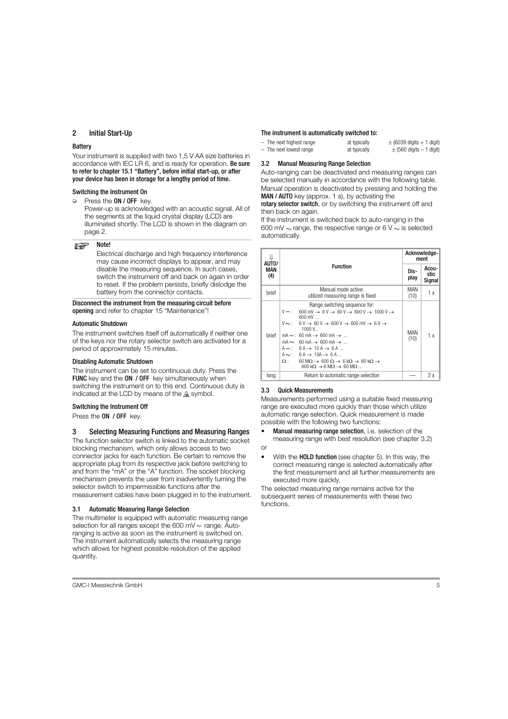# <span id="page-4-0"></span>2 Initial Start-Up

#### **Battery**

Your instrument is supplied with two 1,5 V AA size batteries in accordance with IEC LR 6, and is ready for operation. Be sure to refer to [chapter 15.1 "Battery",](#page-16-1) before initial start-up, or after your device has been in storage for a lengthy period of time.

#### Switching the Instrument On

 $\triangleright$  Press the **ON / OFF** key.

Power-up is acknowledged with an acoustic signal. All of the segments at the liquid crystal display (LCD) are illuminated shortly. The LCD is shown in the diagram on page 2.

#### $\mathbb{R}$ Note!

Electrical discharge and high frequency interference may cause incorrect displays to appear, and may disable the measuring sequence. In such cases, switch the instrument off and back on again in order to reset. If the problem persists, briefly dislodge the battery from the connector contacts.

Disconnect the instrument from the measuring circuit before opening and refer to [chapter 15 "Maintenance"!](#page-16-0)

#### Automatic Shutdown

The instrument switches itself off automatically if neither one of the keys nor the rotary selector switch are activated for a period of approximately 15 minutes.

#### Disabling Automatic Shutdown

The instrument can be set to continuous duty. Press the FUNC key and the ON / OFF key simultaneously when switching the instrument on to this end. Continuous duty is indicated at the LCD by means of the  $\triangle$  symbol.

# Switching the Instrument Off

Press the **ON / OFF** key.

# <span id="page-4-1"></span>3 Selecting Measuring Functions and Measuring Ranges

The function selector switch is linked to the automatic socket blocking mechanism, which only allows access to two connector jacks for each function. Be certain to remove the appropriate plug from its respective jack before switching to and from the "mA" or the "A" function. The socket blocking mechanism prevents the user from inadvertently turning the selector switch to impermissible functions after the measurement cables have been plugged in to the instrument.

# <span id="page-4-2"></span>3.1 Automatic Measuring Range Selection

The multimeter is equipped with automatic measuring range selection for all ranges except the 600 mV  $\sim$  range. Autoranging is active as soon as the instrument is switched on. The instrument automatically selects the measuring range which allows for highest possible resolution of the applied quantity.

#### The instrument is automatically switched to:

| - The next highest range | at typically | $\pm$ (6039 digits + 1 digit) |
|--------------------------|--------------|-------------------------------|
| - The next lowest range  | at typically | $\pm$ (560 digits $-1$ digit) |

#### <span id="page-4-3"></span>3.2 Manual Measuring Range Selection

Auto-ranging can be deactivated and measuring ranges can be selected manually in accordance with the following table.

Manual operation is deactivated by pressing and holding the MAN / AUTO key (approx. 1 s), by activating the

rotary selector switch, or by switching the instrument off and then back on again.

If the instrument is switched back to auto-ranging in the 600 mV  $\sim$  range, the respective range or 6 V  $\sim$  is selected automatically.

| 11<br>AUTO/ |                                                                                                                                                                                                                                                                                                                                                                                                                                                                                                                                                                                                                                                                                                       |              | Acknowledge-<br>ment    |  |  |
|-------------|-------------------------------------------------------------------------------------------------------------------------------------------------------------------------------------------------------------------------------------------------------------------------------------------------------------------------------------------------------------------------------------------------------------------------------------------------------------------------------------------------------------------------------------------------------------------------------------------------------------------------------------------------------------------------------------------------------|--------------|-------------------------|--|--|
| MAN<br>(4)  | <b>Function</b>                                                                                                                                                                                                                                                                                                                                                                                                                                                                                                                                                                                                                                                                                       | Dis-<br>play | Acou-<br>stic<br>Signal |  |  |
| brief       | Manual mode active:<br>utilized measuring range is fixed                                                                                                                                                                                                                                                                                                                                                                                                                                                                                                                                                                                                                                              | MAN<br>(10)  | 1 x                     |  |  |
| brief       | Range switching sequence for:<br>$V -$ : 600 mV $\rightarrow$ 6 V $\rightarrow$ 60 V $\rightarrow$ 600 V $\rightarrow$ 1000 V $\rightarrow$<br>$600 \text{ mV}$<br>$V \sim$ : $6V \rightarrow 60V \rightarrow 600V \rightarrow 600$ mV $\rightarrow 6V \rightarrow$<br>1000 V<br>$mA - 60 \text{ mA} \rightarrow 600 \text{ mA} \rightarrow $<br>$mA \sim$ : 60 mA $\rightarrow$ 600 mA $\rightarrow$<br>$A -: 6A \rightarrow 10A \rightarrow 6A$<br>$A \sim$ : $6A \rightarrow 10A \rightarrow 6A$<br>$\Omega$ : 60 M $\Omega \rightarrow 600 \Omega \rightarrow 6 k\Omega \rightarrow 60 k\Omega \rightarrow$<br>$600 \text{ k}\Omega \rightarrow 6 \text{ M}\Omega \rightarrow 60 \text{ M}\Omega$ | MAN<br>(10)  | 1x                      |  |  |
| long        | Return to automatic range selection                                                                                                                                                                                                                                                                                                                                                                                                                                                                                                                                                                                                                                                                   |              | 2x                      |  |  |

# <span id="page-4-4"></span>3.3 Quick Measurements

Measurements performed using a suitable fixed measuring range are executed more quickly than those which utilize automatic range selection. Quick measurement is made possible with the following two functions:

Manual measuring range selection, i.e. selection of the measuring range with best resolution (see [chapter 3.2\)](#page-4-3)

or

• With the **HOLD function** (see [chapter 5\)](#page-5-5). In this way, the correct measuring range is selected automatically after the first measurement and all further measurements are executed more quickly.

The selected measuring range remains active for the subsequent series of measurements with these two functions.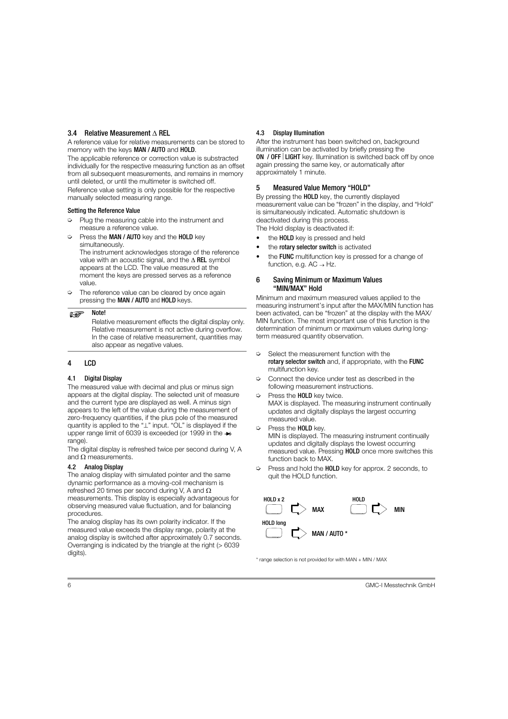# <span id="page-5-0"></span>3.4 Relative Measurement  $\wedge$  REL

A reference value for relative measurements can be stored to memory with the keys MAN / AUTO and HOLD.

The applicable reference or correction value is substracted individually for the respective measuring function as an offset from all subsequent measurements, and remains in memory until deleted, or until the multimeter is switched off. Reference value setting is only possible for the respective manually selected measuring range.

# Setting the Reference Value

- $\heartsuit$  Plug the measuring cable into the instrument and measure a reference value.
- $\heartsuit$  Press the **MAN / AUTO** key and the **HOLD** key simultaneously.

The instrument acknowledges storage of the reference value with an acoustic signal, and the  $\triangle$  REL symbol appears at the LCD. The value measured at the moment the keys are pressed serves as a reference value.

 $\Rightarrow$  The reference value can be cleared by once again pressing the MAN / AUTO and HOLD keys.

#### Note!  $\mathbb{R}$

Relative measurement effects the digital display only. Relative measurement is not active during overflow. In the case of relative measurement, quantities may also appear as negative values.

# <span id="page-5-1"></span>4 LCD

# <span id="page-5-2"></span>4.1 Digital Display

The measured value with decimal and plus or minus sign appears at the digital display. The selected unit of measure and the current type are displayed as well. A minus sign appears to the left of the value during the measurement of zero-frequency quantities, if the plus pole of the measured quantity is applied to the " $\perp$ " input. "OL" is displayed if the upper range limit of 6039 is exceeded (or 1999 in the  $\rightarrow$ range).

The digital display is refreshed twice per second during V, A and O measurements.

# <span id="page-5-3"></span>4.2 Analog Display

The analog display with simulated pointer and the same dynamic performance as a moving-coil mechanism is refreshed 20 times per second during V, A and  $\Omega$ measurements. This display is especially advantageous for observing measured value fluctuation, and for balancing procedures.

The analog display has its own polarity indicator. If the measured value exceeds the display range, polarity at the analog display is switched after approximately 0.7 seconds. Overranging is indicated by the triangle at the right (> 6039 digits).

# <span id="page-5-4"></span>4.3 Display Illumination

After the instrument has been switched on, background illumination can be activated by briefly pressing the ON / OFF LIGHT key. Illumination is switched back off by once again pressing the same key, or automatically after approximately 1 minute.

# <span id="page-5-5"></span>5 Measured Value Memory "HOLD"

By pressing the **HOLD** key, the currently displayed measurement value can be "frozen" in the display, and "Hold" is simultaneously indicated. Automatic shutdown is deactivated during this process.

The Hold display is deactivated if:

- the HOLD key is pressed and held
- the rotary selector switch is activated
- the **FUNC** multifunction key is pressed for a change of function, e.g.  $AC \rightarrow Hz$ .

# <span id="page-5-6"></span>6 Saving Minimum or Maximum Values "MIN/MAX" Hold

Minimum and maximum measured values applied to the measuring instrument's input after the MAX/MIN function has been activated, can be "frozen" at the display with the MAX/ MIN function. The most important use of this function is the determination of minimum or maximum values during longterm measured quantity observation.

- $\Leftrightarrow$  Select the measurement function with the rotary selector switch and, if appropriate, with the FUNC multifunction key.
- $\heartsuit$  Connect the device under test as described in the following measurement instructions.
- Press the **HOLD** key twice. MAX is displayed. The measuring instrument continually updates and digitally displays the largest occurring measured value.
- ➭ Press the HOLD key.

MIN is displayed. The measuring instrument continually updates and digitally displays the lowest occurring measured value. Pressing HOLD once more switches this function back to MAX.

 $\heartsuit$  Press and hold the HOLD key for approx. 2 seconds, to quit the HOLD function.



\* range selection is not provided for with MAN + MIN / MAX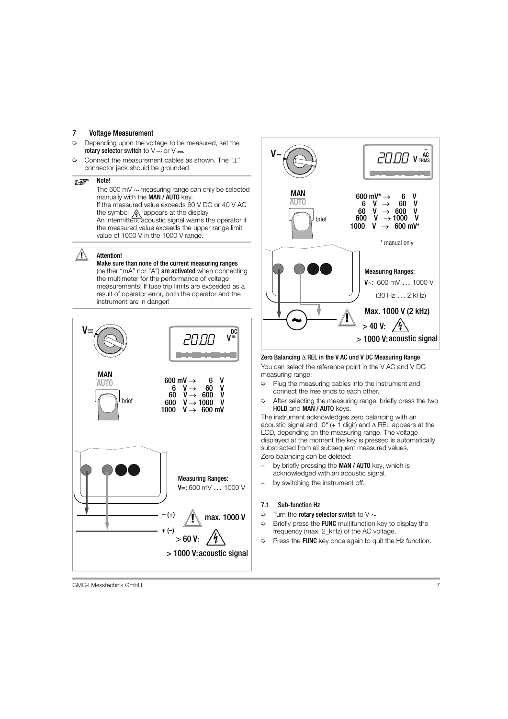# <span id="page-6-0"></span>7 Voltage Measurement

- Depending upon the voltage to be measured, set the rotary selector switch to  $\vee \sim$  or  $\vee \equiv$ .
- $\heartsuit$  Connect the measurement cables as shown. The " $\perp$ " connector jack should be grounded.

#### $\mathbb{R}$ Note!

The 600 mV  $\sim$  measuring range can only be selected manually with the MAN / AUTO key. If the measured value exceeds 60 V DC or 40 V AC the symbol  $\bigwedge$  appears at the display. An intermittent acoustic signal warns the operator if the measured value exceeds the upper range limit value of 1000 V in the 1000 V range.

# Attention!

Make sure than none of the current measuring ranges (neither "mA" nor "A") are activated when connecting the multimeter for the performance of voltage measurements! If fuse trip limits are exceeded as a result of operator error, both the operator and the instrument are in danger!





# Zero Balancing  $\triangle$  REL in the V AC und V DC Measuring Range

You can select the reference point in the V AC and V DC measuring range:

- $\heartsuit$  Plug the measuring cables into the instrument and connect the free ends to each other.
- $\Rightarrow$  After selecting the measuring range, briefly press the two HOLD and MAN / AUTO keys.

The instrument acknowledges zero balancing with an acoustic signal and "0" ( $+$  1 digit) and  $\triangle$  REL appears at the LCD, depending on the measuring range. The voltage displayed at the moment the key is pressed is automatically substracted from all subsequent measured values. Zero balancing can be deleted:

by briefly pressing the MAN / AUTO key, which is acknowledged with an acoustic signal,

by switching the instrument off.

# <span id="page-6-1"></span>7.1 Sub-function Hz

- $\heartsuit$  Turn the rotary selector switch to V  $\sim$
- $\Diamond$  Briefly press the **FUNC** multifunction key to display the frequency (max. 2 kHz) of the AC voltage.
- $\triangleright$  Press the FUNC key once again to quit the Hz function.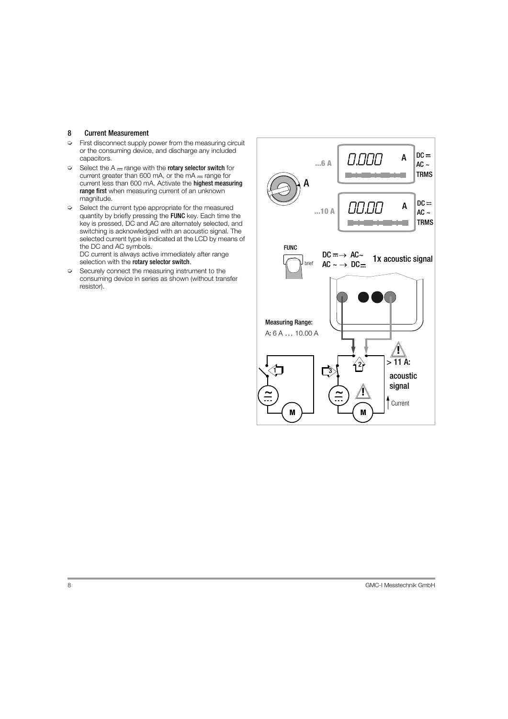# <span id="page-7-0"></span>8 Current Measurement

- $\Rightarrow$  First disconnect supply power from the measuring circuit or the consuming device, and discharge any included capacitors.
- $\heartsuit$  Select the A range with the rotary selector switch for current greater than 600 mA, or the  $mA$  - range for current less than 600 mA. Activate the highest measuring range first when measuring current of an unknown magnitude.
- $\heartsuit$  Select the current type appropriate for the measured quantity by briefly pressing the FUNC key. Each time the key is pressed, DC and AC are alternately selected, and switching is acknowledged with an acoustic signal. The selected current type is indicated at the LCD by means of the DC and AC symbols.

DC current is always active immediately after range selection with the rotary selector switch.

 $\Diamond$  Securely connect the measuring instrument to the consuming device in series as shown (without transfer resistor).

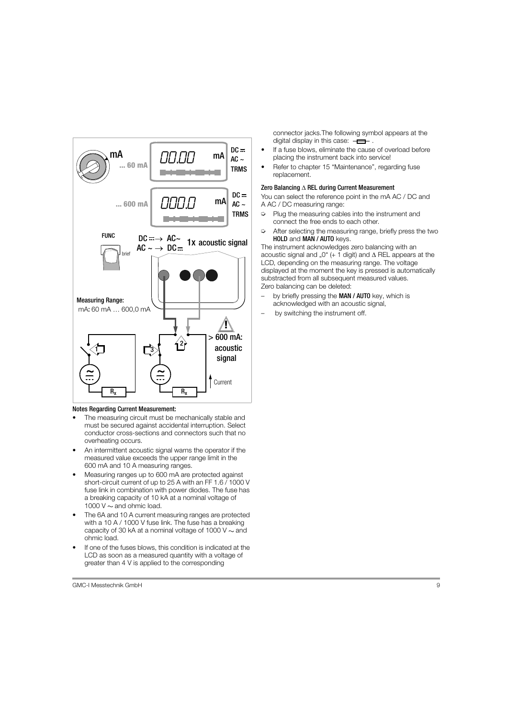

# Notes Regarding Current Measurement:

- The measuring circuit must be mechanically stable and must be secured against accidental interruption. Select conductor cross-sections and connectors such that no overheating occurs.
- An intermittent acoustic signal warns the operator if the measured value exceeds the upper range limit in the 600 mA and 10 A measuring ranges.
- Measuring ranges up to 600 mA are protected against short-circuit current of up to 25 A with an FF 1.6 / 1000 V fuse link in combination with power diodes. The fuse has a breaking capacity of 10 kA at a nominal voltage of 1000 V  $\sim$  and ohmic load.
- The 6A and 10 A current measuring ranges are protected with a 10 A / 1000 V fuse link. The fuse has a breaking capacity of 30 kA at a nominal voltage of 1000  $V \sim$  and ohmic load.
- If one of the fuses blows, this condition is indicated at the LCD as soon as a measured quantity with a voltage of greater than 4 V is applied to the corresponding

connector jacks.The following symbol appears at the digital display in this case:  $-\blacksquare$ .

- If a fuse blows, eliminate the cause of overload before placing the instrument back into service!
- Refer to [chapter 15 "Maintenance"](#page-16-0), regarding fuse replacement.

#### Zero Balancing  $\triangle$  REL during Current Measurement

You can select the reference point in the mA AC / DC and A AC / DC measuring range:

- $\heartsuit$  Plug the measuring cables into the instrument and connect the free ends to each other.
- $\heartsuit$  After selecting the measuring range, briefly press the two HOLD and MAN / AUTO keys.

The instrument acknowledges zero balancing with an acoustic signal and ...0" (+ 1 digit) and  $\triangle$  REL appears at the LCD, depending on the measuring range. The voltage displayed at the moment the key is pressed is automatically substracted from all subsequent measured values. Zero balancing can be deleted:

- by briefly pressing the MAN / AUTO key, which is acknowledged with an acoustic signal,
- by switching the instrument off.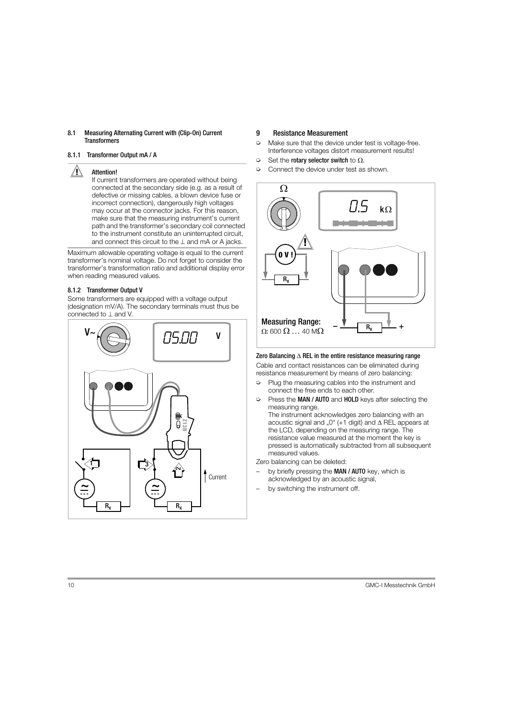#### <span id="page-9-0"></span>8.1 Measuring Alternating Current with (Clip-On) Current **Transformers**

# <span id="page-9-1"></span>8.1.1 Transformer Output mA / A

# $\sqrt{N}$  Attention!

If current transformers are operated without being connected at the secondary side (e.g. as a result of defective or missing cables, a blown device fuse or incorrect connection), dangerously high voltages may occur at the connector jacks. For this reason, make sure that the measuring instrument's current path and the transformer's secondary coil connected to the instrument constitute an uninterrupted circuit, and connect this circuit to the  $\perp$  and mA or A jacks.

Maximum allowable operating voltage is equal to the current transformer's nominal voltage. Do not forget to consider the transformer's transformation ratio and additional display error when reading measured values.

# <span id="page-9-2"></span>8.1.2 Transformer Output V

Some transformers are equipped with a voltage output (designation mV/A). The secondary terminals must thus be connected to  $\perp$  and V.



# <span id="page-9-3"></span>9 Resistance Measurement

- $\Rightarrow$  Make sure that the device under test is voltage-free. Interference voltages distort measurement results!
- $\Rightarrow$  Set the rotary selector switch to  $\Omega$ .
- ➭ Connect the device under test as shown.



# Zero Balancing  $\wedge$  REL in the entire resistance measuring range

Cable and contact resistances can be eliminated during resistance measurement by means of zero balancing:

- Plug the measuring cables into the instrument and connect the free ends to each other.
- ➭ Press the MAN / AUTO and HOLD keys after selecting the measuring range.

The instrument acknowledges zero balancing with an acoustic signal and  $.0^{\circ}$  (+1 digit) and  $\Lambda$  REL appears at the LCD, depending on the measuring range. The resistance value measured at the moment the key is pressed is automatically subtracted from all subsequent measured values.

Zero balancing can be deleted:

- by briefly pressing the MAN / AUTO key, which is acknowledged by an acoustic signal,
- by switching the instrument off.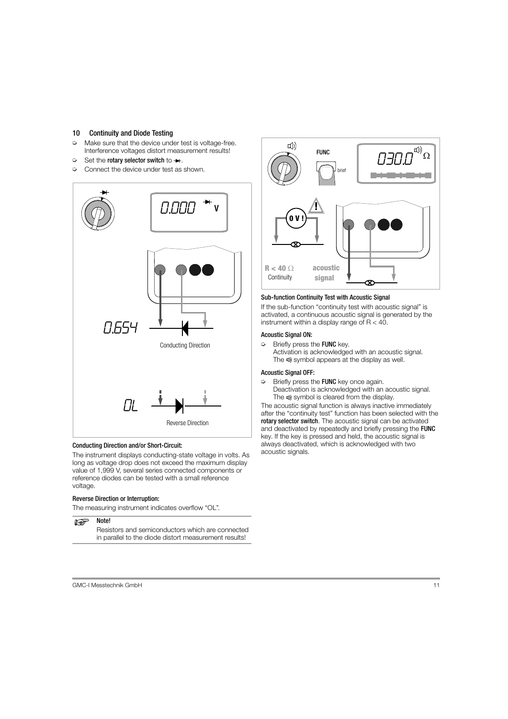# <span id="page-10-0"></span>10 Continuity and Diode Testing

- $\Rightarrow$  Make sure that the device under test is voltage-free. Interference voltages distort measurement results!
- $\Rightarrow$  Set the rotary selector switch to  $\rightarrow$ .
- $\heartsuit$  Connect the device under test as shown.



# Conducting Direction and/or Short-Circuit:

The instrument displays conducting-state voltage in volts. As long as voltage drop does not exceed the maximum display value of 1,999 V, several series connected components or reference diodes can be tested with a small reference voltage.

# Reverse Direction or Interruption:

The measuring instrument indicates overflow "OL".

#### Note! **N-RF**

Resistors and semiconductors which are connected in parallel to the diode distort measurement results!



# Sub-function Continuity Test with Acoustic Signal

If the sub-function "continuity test with acoustic signal" is activated, a continuous acoustic signal is generated by the instrument within a display range of  $R < 40$ .

# Acoustic Signal ON:

 $\Rightarrow$  Briefly press the FUNC key. Activation is acknowledged with an acoustic signal. The  $\psi$  symbol appears at the display as well.

# Acoustic Signal OFF:

 $\heartsuit$  Briefly press the **FUNC** key once again. Deactivation is acknowledged with an acoustic signal. The  $\triangleleft$ ) symbol is cleared from the display.

The acoustic signal function is always inactive immediately after the "continuity test" function has been selected with the rotary selector switch. The acoustic signal can be activated and deactivated by repeatedly and briefly pressing the FUNC key. If the key is pressed and held, the acoustic signal is always deactivated, which is acknowledged with two acoustic signals.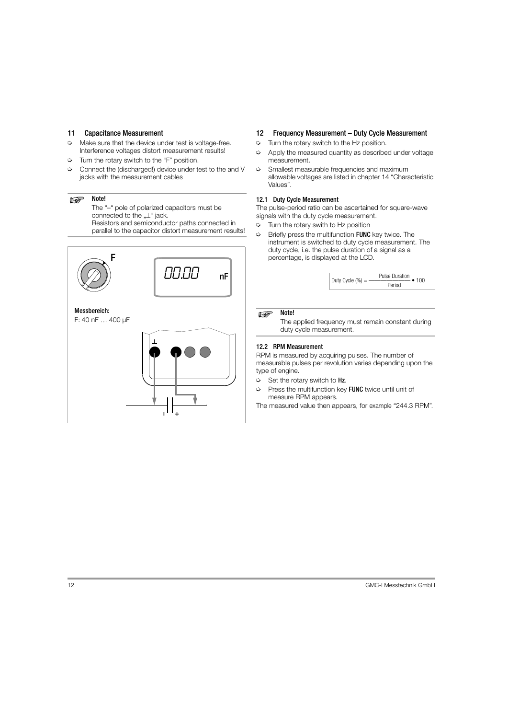# <span id="page-11-0"></span>11 Capacitance Measurement

- $\Rightarrow$  Make sure that the device under test is voltage-free. Interference voltages distort measurement results!
- $\heartsuit$  Turn the rotary switch to the "F" position.
- ➭ Connect the (discharged!) device under test to the and V jacks with the measurement cables

#### Note!  $\mathbb{R}$

The "–" pole of polarized capacitors must be connected to the  $L^*$  jack. Resistors and semiconductor paths connected in parallel to the capacitor distort measurement results!



# <span id="page-11-1"></span>12 Frequency Measurement – Duty Cycle Measurement

- $\heartsuit$  Turn the rotary switch to the Hz position.
- $\Rightarrow$  Apply the measured quantity as described under voltage measurement.
- $\Diamond$  Smallest measurable frequencies and maximum allowable voltages are listed in [chapter 14 "Characteristic](#page-13-0)  [Values".](#page-13-0)

# <span id="page-11-2"></span>12.1 Duty Cycle Measurement

The pulse-period ratio can be ascertained for square-wave signals with the duty cycle measurement.

- $\heartsuit$  Turn the rotary swith to Hz position
- $\heartsuit$  Briefly press the multifunction FUNC key twice. The instrument is switched to duty cycle measurement. The duty cycle, i.e. the pulse duration of a signal as a percentage, is displayed at the LCD.

|  | Duty Cycle $(\% ) =$ | <b>Pulse Duration</b> |
|--|----------------------|-----------------------|
|  |                      | Perind                |

#### Note! **Rap**

The applied frequency must remain constant during duty cycle measurement.

# <span id="page-11-3"></span>12.2 RPM Measurement

RPM is measured by acquiring pulses. The number of measurable pulses per revolution varies depending upon the type of engine.

- $\Rightarrow$  Set the rotary switch to Hz.
- $\triangleright$  Press the multifunction key FUNC twice until unit of measure RPM appears.

The measured value then appears, for example "244.3 RPM".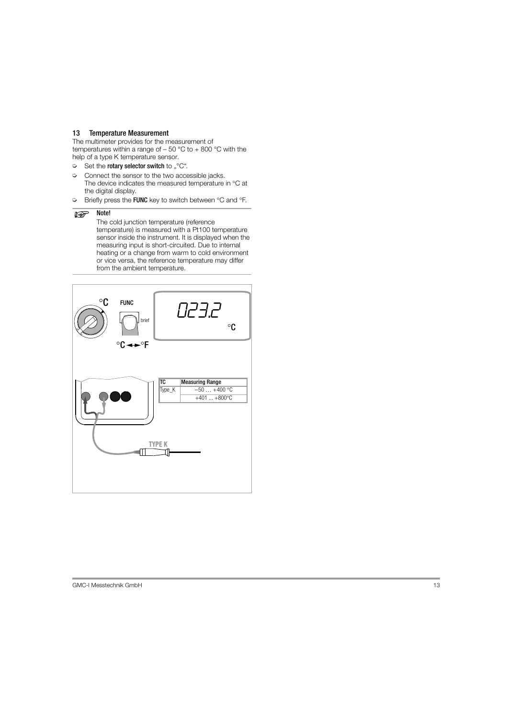# <span id="page-12-0"></span>13 Temperature Measurement

The multimeter provides for the measurement of temperatures within a range of  $-50$  °C to  $+800$  °C with the help of a type K temperature sensor.

- $\Rightarrow$  Set the rotary selector switch to " $\degree$ C".
- $\heartsuit$  Connect the sensor to the two accessible jacks. The device indicates the measured temperature in °C at the digital display.
- $\Rightarrow$  Briefly press the FUNC key to switch between  $\degree$ C and  $\degree$ F.

#### $\mathbb{R}$ Note!

The cold junction temperature (reference temperature) is measured with a Pt100 temperature sensor inside the instrument. It is displayed when the measuring input is short-circuited. Due to internal heating or a change from warm to cold environment or vice versa, the reference temperature may differ from the ambient temperature.

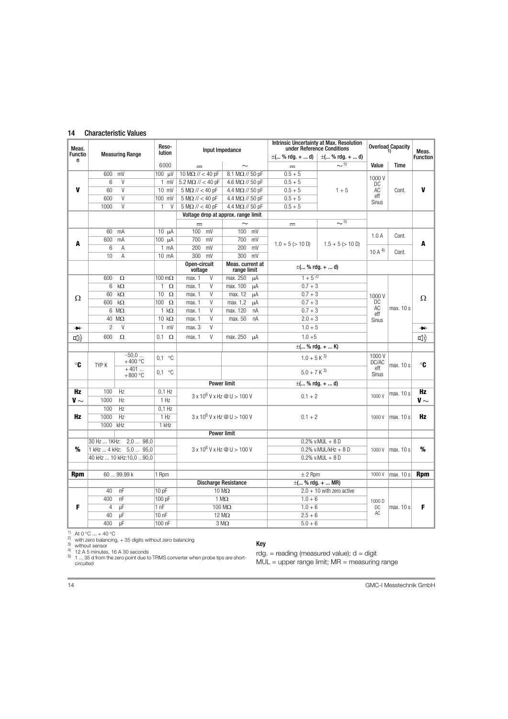# <span id="page-13-0"></span>14 Characteristic Values

| Meas.               | <b>Intrinsic Uncertainty at Max. Resolution</b><br>Reso-<br>under Reference Conditions<br>Input Impedance<br>lution<br><b>Measuring Range</b> |                          |                          | Overload Capacity                  |                                     | Meas.              |                                           |                  |                       |                 |
|---------------------|-----------------------------------------------------------------------------------------------------------------------------------------------|--------------------------|--------------------------|------------------------------------|-------------------------------------|--------------------|-------------------------------------------|------------------|-----------------------|-----------------|
| <b>Functio</b><br>n |                                                                                                                                               |                          |                          |                                    |                                     |                    | $\pm$ ( % rdg. +  d) $\pm$ ( % rdg. +  d) |                  |                       | <b>Function</b> |
|                     |                                                                                                                                               |                          | 6000                     | $\overline{1}$                     |                                     | $\equiv$           | $\sim$ 5)                                 | Value            | <b>Time</b>           |                 |
|                     | 600                                                                                                                                           | mV                       | $100 \text{ \tW}$        | $10 M\Omega$ // < 40 pF            | $8.1$ M $\Omega$ // 50 pF           | $0.5 + 5$          |                                           | 1000V            |                       |                 |
|                     | 6                                                                                                                                             | $\vee$                   | $1$ mV                   | $5.2 M\Omega$ // < 40 pF           | 4.6 M $\Omega$ // 50 pF             | $0.5 + 5$          |                                           | DC<br>AC         |                       |                 |
| V                   | 60                                                                                                                                            | $\overline{V}$           | 10 mV                    | $5 M\Omega$ // < 40 pF             | 4.4 M $\Omega$ // 50 pF             | $0.5 + 5$          | $1 + 5$                                   |                  | Cont.                 | V               |
|                     | 600                                                                                                                                           | $\vee$                   | 100 mV                   | $5 M\Omega$ // < 40 pF             | 4.4 M $\Omega$ // 50 pF             | $0.5 + 5$          |                                           | eff<br>Sinus     |                       |                 |
|                     | 1000                                                                                                                                          | $\vee$                   | $\mathbf{1}$<br>$\vee$   | $5 M\Omega$ // < 40 pF             | 4.4 $M\Omega$ // 50 pF              | $0.5 + 5$          |                                           |                  |                       |                 |
|                     |                                                                                                                                               |                          |                          |                                    | Voltage drop at approx. range limit |                    |                                           |                  |                       |                 |
|                     |                                                                                                                                               |                          |                          | $\equiv$                           | $\sim$                              | $\equiv$           | $\sim$ 5)                                 |                  |                       |                 |
|                     |                                                                                                                                               | 60 mA                    | $10 \mu A$               | $100$ mV                           | $100$ mV                            |                    |                                           | 1.0A             | Cont.                 |                 |
| A                   | 600                                                                                                                                           | mA                       | 100 µA                   | 700 mV                             | 700 mV                              | $1.0 + 5 (> 10 D)$ | $1.5 + 5 (> 10 D)$                        |                  |                       | A               |
|                     | 6                                                                                                                                             | A                        | $1 \text{ mA}$           | 200 mV                             | 200 mV                              |                    |                                           | 10A <sup>4</sup> |                       |                 |
|                     | 10                                                                                                                                            | A                        | 10 mA                    | 300 mV                             | 300 mV                              |                    |                                           |                  | Cont.                 |                 |
|                     |                                                                                                                                               |                          |                          | Open-circuit                       | Meas, current at                    |                    | $\pm$ ( % rdg. +  d)                      |                  |                       |                 |
|                     |                                                                                                                                               |                          |                          | voltage                            | range limit                         |                    |                                           |                  |                       |                 |
|                     | 600                                                                                                                                           | $\Omega$                 | $100 \,\mathrm{m}\Omega$ | max. 1<br>V                        | max. 250<br>μA                      | $1+5^{2}$          |                                           |                  |                       |                 |
|                     | 6                                                                                                                                             | $k\Omega$                | $\mathbf{1}$<br>$\Omega$ | V<br>max. 1                        | max. 100<br>μA                      | $0.7 + 3$          |                                           |                  |                       |                 |
| Ω                   | 60                                                                                                                                            | $k\Omega$                | 10<br>$\Omega$           | V<br>max. 1                        | max. 12<br>μA                       | $0.7 + 3$          |                                           | 1000V            |                       | Ω               |
|                     | 600                                                                                                                                           | $k\Omega$                | $\Omega$<br>100          | V<br>max. 1                        | max. 1,2<br>μA                      | $0.7 + 3$          |                                           | DC               | max. 10 s             |                 |
|                     |                                                                                                                                               | $6 \text{ M}\Omega$      | $1 k\Omega$              | V<br>max. 1                        | max. 120<br>nA                      | $0.7 + 3$          |                                           | AC<br>eff        |                       |                 |
|                     |                                                                                                                                               | $40 \text{ M}\Omega$     | $10 k\Omega$             | V<br>max. 1                        | nA<br>max. 50                       | $2.0 + 3$          |                                           | Sinus            |                       |                 |
| $\bullet$           | $\overline{c}$                                                                                                                                | $\vee$                   | $1$ mV                   | V<br>max. 3                        |                                     | $1.0 + 5$          |                                           |                  |                       | $\rightarrow$   |
| [1]                 | 600                                                                                                                                           | Ω                        | $\Omega$<br>0.1          | V<br>max. 1                        | max. 250<br>uA                      | $1.0 + 5$          |                                           |                  |                       | <b>口</b> ))     |
|                     |                                                                                                                                               |                          |                          |                                    |                                     |                    | $\pm$ ( % rdg. +  K)                      |                  |                       |                 |
|                     |                                                                                                                                               | $-50.0$                  | $0,1$ °C                 |                                    |                                     | $1.0 + 5 K^{3}$    |                                           | 1000V            |                       |                 |
| °C                  | TYP K                                                                                                                                         | $+400 °C$                |                          |                                    |                                     |                    |                                           | DC/AC<br>eff     | max. 10 s             | ℃               |
|                     |                                                                                                                                               | $+401$<br>$+800 °C$      | $0,1$ °C                 |                                    |                                     | $5.0 + 7 K^{3}$    |                                           | Sinus            |                       |                 |
|                     |                                                                                                                                               |                          |                          |                                    | <b>Power limit</b>                  |                    | $\pm$ ( % rdg. +  d)                      |                  |                       |                 |
| Hz                  | 100                                                                                                                                           | Hz                       | $0.1$ Hz                 |                                    |                                     |                    |                                           |                  |                       | <b>Hz</b>       |
| V $\sim$            | 1000                                                                                                                                          | Hz                       | 1 Hz                     | $3 \times 10^6$ V x Hz @ U > 100 V |                                     | $0.1 + 2$          |                                           | 1000V            | max. 10 s             | V $\sim$        |
|                     | 100                                                                                                                                           | Hz                       | $0,1$ Hz                 |                                    |                                     |                    |                                           |                  |                       |                 |
| Hz                  | 1000                                                                                                                                          | Hz                       | 1 Hz                     |                                    | $3 \times 10^6$ V x Hz @ U > 100 V  | $0.1 + 2$          |                                           | 1000V            | max. 10 s             | Hz              |
|                     | 1000                                                                                                                                          | kHz                      | 1 kHz                    |                                    |                                     |                    |                                           |                  |                       |                 |
|                     |                                                                                                                                               |                          |                          |                                    | <b>Power limit</b>                  |                    |                                           |                  |                       |                 |
|                     |                                                                                                                                               | 30 Hz  1KHz: 2,0  98,0   |                          |                                    |                                     |                    | $0.2\%$ v.MUL + 8 D                       |                  |                       |                 |
| %                   |                                                                                                                                               | 1 kHz  4 kHz: 5,0  95,0  |                          | $3 \times 10^6$ V x Hz @ U > 100 V |                                     |                    | $0.2\%$ v.MUL/kHz + 8 D                   | 1000V            | max. 10 s             | %               |
|                     |                                                                                                                                               | 40 kHz  10 kHz:10,0 90,0 |                          |                                    |                                     |                    | $0.2\%$ v.MUL + 8 D                       |                  |                       |                 |
|                     |                                                                                                                                               |                          |                          |                                    |                                     |                    |                                           |                  |                       |                 |
| <b>Rpm</b>          |                                                                                                                                               | 60  99.99 k              | 1 Rpm                    |                                    |                                     | $± 2$ Rpm          |                                           | 1000V            | max. 10 s             | <b>Rpm</b>      |
|                     |                                                                                                                                               |                          |                          |                                    | <b>Discharge Resistance</b>         |                    | $\pm$ ( % rdg. +  MR)                     |                  |                       |                 |
|                     | 40                                                                                                                                            | nF                       | 10pF                     |                                    | $10 \text{ M}\Omega$                |                    | $2.0 + 10$ with zero active               |                  |                       |                 |
|                     | 400                                                                                                                                           | nF                       | 100 pF                   |                                    | 1 M $\Omega$                        |                    |                                           |                  |                       |                 |
| F                   | $\overline{4}$                                                                                                                                | μF                       | 1 nF                     |                                    | 100 M $\Omega$                      | $1.0 + 6$          |                                           | 1000 D           | max. 10 s<br>DC<br>AC | F               |
|                     | 40                                                                                                                                            | μF                       | 10 <sub>0</sub>          |                                    | $12 \text{ M}\Omega$                | $2.5 + 6$          | $1.0 + 6$                                 |                  |                       |                 |
|                     |                                                                                                                                               | $U$ F                    | 100 nF                   |                                    | $3 M\Omega$                         | $5.0 + 6$          |                                           |                  |                       |                 |
|                     | 400                                                                                                                                           |                          |                          |                                    |                                     |                    |                                           |                  |                       |                 |

1) At 0 °C ... + 40 °C<br>
2) with zero balancing, + 35 digits without zero balancing<br>
3) without sensor<br>
4) 12 A 5 minutes, 16 A 30 seconds<br>
5) 1 ... 35 d from the zero point due to TRMS converter when probe tips are shortcircuited

# Key

 $r dg. = reading (measured value); d = digit$ 

MUL = upper range limit; MR = measuring range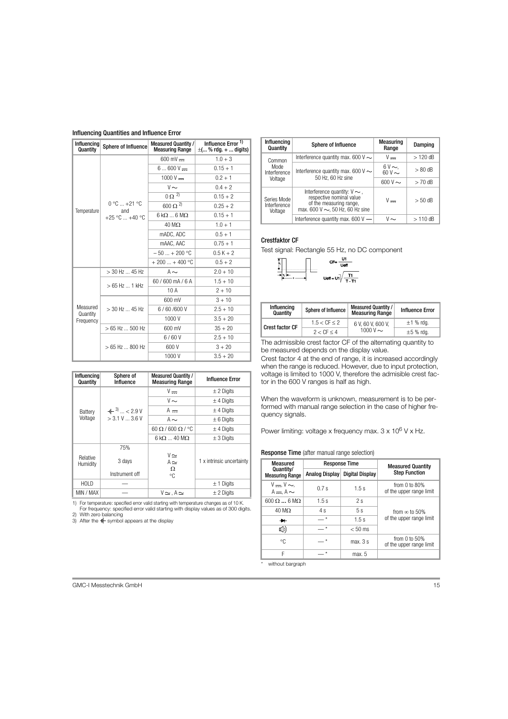#### Influencing Quantities and Influence Error

| Influencing<br>Quantity | Sphere of Influence      | <b>Measured Quantity /</b><br><b>Measuring Range</b> | Influence Error 1)<br>$\pm$ ( % rdg. +  digits) |  |
|-------------------------|--------------------------|------------------------------------------------------|-------------------------------------------------|--|
|                         |                          | $600 \text{ mV}$ =                                   | $1.0 + 3$                                       |  |
|                         |                          | $6600V =$                                            | $0.15 + 1$                                      |  |
|                         |                          | $1000 V -$                                           | $0.2 + 1$                                       |  |
|                         |                          | $V \sim$                                             | $0.4 + 2$                                       |  |
|                         |                          | $0 \Omega^{2}$                                       | $0.15 + 2$                                      |  |
| Temperature             | $0 °C  +21 °C$<br>and    | $600 \Omega^{2}$                                     | $0.25 + 2$                                      |  |
|                         | $+25$ °C $+40$ °C        | $6 \, k\Omega$ $6 \, M\Omega$                        | $0.15 + 1$                                      |  |
|                         |                          | $40 \text{ M}\Omega$                                 | $1.0 + 1$                                       |  |
|                         |                          | mADC, ADC                                            | $0.5 + 1$                                       |  |
|                         |                          | mAAC, AAC                                            | $0.75 + 1$                                      |  |
|                         |                          | $-50$ + 200 °C                                       | $0.5K + 2$                                      |  |
|                         |                          | $+200+400$ °C                                        | $0.5 + 2$                                       |  |
|                         | $> 30$ Hz $$ 45 Hz       | $A \sim$                                             | $2.0 + 10$                                      |  |
|                         | $>65$ Hz $$ 1 kHz        | 60/600 mA/6 A                                        | $1.5 + 10$                                      |  |
|                         |                          | 10A                                                  | $2 + 10$                                        |  |
|                         |                          | 600 mV                                               | $3 + 10$                                        |  |
| Measured<br>Quantity    | > 30 Hz  45 Hz           | 6/60/600V                                            | $2.5 + 10$                                      |  |
| Frequency               |                          | 1000 V                                               | $3.5 + 20$                                      |  |
|                         | $>65$ Hz $$ 500 Hz       | 600 mV                                               | $35 + 20$                                       |  |
|                         |                          | 6/60V                                                | $2.5 + 10$                                      |  |
|                         | $>65$ Hz $\ldots$ 800 Hz | 600 V                                                | $3 + 20$                                        |  |
|                         |                          | 1000V                                                | $3.5 + 20$                                      |  |

| Influencing<br>Quantity | Sphere of<br>Influence | <b>Measured Quantity /</b><br><b>Measuring Range</b> | <b>Influence Error</b>    |
|-------------------------|------------------------|------------------------------------------------------|---------------------------|
|                         |                        | $V =$                                                | $\pm$ 2 Digits            |
|                         |                        | $V \sim$                                             | $±$ 4 Digits              |
| Battery                 | $+3$ $\ldots$ < 2.9 V  | $A =$                                                | $±$ 4 Digits              |
| Voltage                 | > 3.1 V  3.6 V         | $A \sim$<br>$\pm 6$ Digits                           |                           |
|                         |                        | $60 \Omega / 600 \Omega / 90$                        | $\pm$ 4 Digits            |
|                         |                        | $6 \text{ k}\Omega$ $40 \text{ M}\Omega$             | $\pm$ 3 Digits            |
|                         | 75%                    |                                                      |                           |
| Relative<br>Humidity    | 3 days                 | $V \simeq$<br>$A \simeq$                             | 1 x intrinsic uncertainty |
|                         | Instrument off         | Ω<br>°C                                              |                           |
| HOI D                   |                        |                                                      | $\pm$ 1 Digits            |
| MIN / MAX               |                        | $V \simeq$ . A $\simeq$                              | $\pm$ 2 Digits            |

1) For temperature: specified error valid starting with temperature changes as of 10 K. For frequency: specified error valid starting with display values as of 300 digits.

2) With zero balancing

3) After the  $+$  symbol appears at the display

| Influencing<br>Quantity                | <b>Sphere of Influence</b>                                                                                                        | Measuring<br>Range |           |
|----------------------------------------|-----------------------------------------------------------------------------------------------------------------------------------|--------------------|-----------|
| Common                                 | Interference quantity max. 600 V $\sim$                                                                                           | $V -$              | $>120$ dB |
| Mode<br>Interference                   | Interference quantity max. 600 V $\sim$<br>50 Hz, 60 Hz sine                                                                      | $6V \sim 60V \sim$ | $> 80$ dB |
| Voltage                                |                                                                                                                                   | $600V \sim$        | $> 70$ dB |
| Series Mode<br>Interference<br>Voltage | Interference quantity: $V \sim$ ,<br>respective nominal value<br>of the measuring range,<br>max. 600 V $\sim$ , 50 Hz, 60 Hz sine | $V -$              | $> 50$ dB |
|                                        | Interference quantity max. $600V -$                                                                                               | $V \sim$           | $>110$ dB |

# Crestfaktor CF

Test signal: Rectangle 55 Hz, no DC component



| Influencing<br>Quantity | Sphere of Influence | <b>Measured Quantity /</b><br><b>Measuring Range</b> | <b>Influence Error</b> |
|-------------------------|---------------------|------------------------------------------------------|------------------------|
| <b>Crest factor CF</b>  | $1.5 < C$ F < 2     | 6 V. 60 V. 600 V.                                    | $\pm$ 1 % rda.         |
|                         | $2 < C$ F $< 4$     | 1000 $V \sim$                                        | $\pm 5$ % rda.         |

The admissible crest factor CF of the alternating quantity to be measured depends on the display value.

Crest factor 4 at the end of range, it is increased accordingly when the range is reduced. However, due to input protection, voltage is limited to 1000 V, therefore the admisible crest factor in the 600 V ranges is half as high.

When the waveform is unknown, measurement is to be performed with manual range selection in the case of higher frequency signals.

Power limiting: voltage x frequency max.  $3 \times 10^6$  V x Hz.

# Response Time (after manual range selection)

| Measured                            | <b>Response Time</b> |                        | <b>Measured Quantity</b>                       |  |
|-------------------------------------|----------------------|------------------------|------------------------------------------------|--|
| Quantity/<br><b>Measuring Range</b> | Analog Display       | <b>Digital Display</b> | <b>Step Function</b>                           |  |
| $V = V \sim$<br>$A = A \sim$        | 0.7s                 | 1.5s                   | from $0$ to $80\%$<br>of the upper range limit |  |
| $600 \Omega$ 6 M $\Omega$           | 1.5s                 | 2s                     |                                                |  |
| $40 \text{ M}\Omega$                | 4 s                  | 5s                     | from $\infty$ to 50%                           |  |
| →                                   | $\star$              | 1.5s                   | of the upper range limit                       |  |
| <b>[11]</b>                         | $\star$              | $< 50$ ms              |                                                |  |
| °C                                  |                      | max. 3s                | from $0$ to $50\%$<br>of the upper range limit |  |
| F                                   |                      | max. 5                 |                                                |  |

without bargraph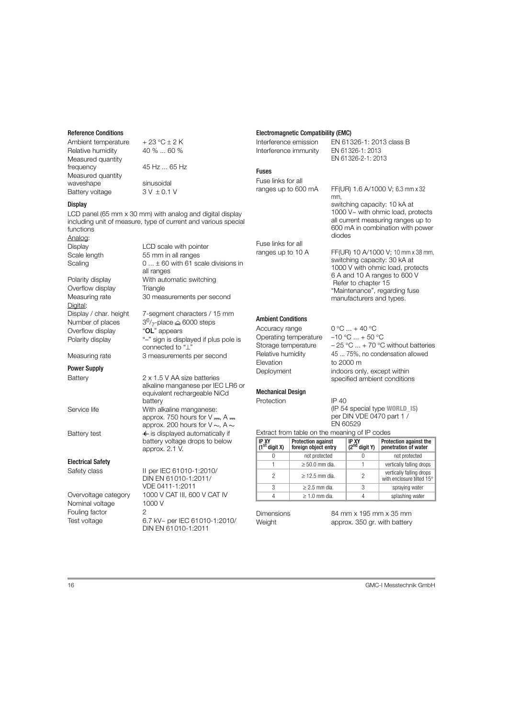#### Reference Conditions

| Ambient temperature | $+23 °C \pm 2 K$ |
|---------------------|------------------|
| Relative humidity   | 40 %  60 %       |
| Measured quantity   |                  |
| frequency           | 45 Hz  65 Hz     |
| Measured quantity   |                  |
| waveshape           | sinusoidal       |
| Battery voltage     | $3V \pm 0.1V$    |

#### **Display**

LCD panel (65 mm x 30 mm) with analog and digital display including unit of measure, type of current and various special functions Analog: Display **LCD** scale with pointer Scale length 55 mm in all ranges

all ranges

connected to " $\perp$ "

alkaline manganese per IEC LR6 or equivalent rechargeable NiCd

approx. 750 hours for  $V = A =$ approx. 200 hours for  $V \sim A \sim$ 

battery voltage drops to below

Scaling  $0 \dots \pm 60$  with 61 scale divisions in Polarity display With automatic switching Overflow display Triangle Measuring rate 30 measurements per second Digital: Display / char. height 7-segment characters / 15 mm

Number of places  $3^{6}/7$ -place  $\cong$  6000 steps<br>Overflow display **"OL"** appears Overflow display Polarity display  $-$  "-" sign is displayed if plus pole is

Measuring rate 3 measurements per second

# Power Supply

Battery 2 x 1.5 V AA size batteries

Service life With alkaline manganese:

Battery test **in the start of the start of the start of the start of the start of the start of the start of the start of the start of the start of the start of the start of the start of the start of the start of the start** 

# Electrical Safety

| Safety class         | II per IEC 61010-1:2010/                             |
|----------------------|------------------------------------------------------|
|                      | DIN EN 61010-1:2011/                                 |
|                      | VDE 0411-1:2011                                      |
| Overvoltage category | 1000 V CAT III, 600 V CAT IV                         |
| Nominal voltage      | 1000 V                                               |
| Fouling factor       | 2                                                    |
| Test voltage         | 6.7 kV~ per IEC 61010-1:2010/<br>DIN EN 61010-1:2011 |

battery

approx. 2.1 V.

# Electromagnetic Compatibility (EMC)

Interference emission EN 61326-1: 2013 class B Interference immunity EN 61326-1: 2013

# Fuses

Fuse links for all

ranges up to 600 mA FF(UR) 1.6 A/1000 V; 6.3 mm x 32

all current measuring ranges up to 600 mA in combination with power diodes

switching capacity: 10 kA at 1000 V~ with ohmic load, protects

EN 61326-2-1: 2013

mm,

ranges up to 10 A FF(UR) 10 A/1000 V; 10 mm x 38 mm, switching capacity: 30 kA at 1000 V with ohmic load, protects 6 A and 10 A ranges to 600 V Refer to [chapter 15](#page-16-0)  ["Maintenance"](#page-16-0), regarding fuse manufacturers and types.

# <span id="page-15-0"></span>Ambient Conditions

Fuse links for all

Accuracy range  $0^{\circ}$ C  $... + 40^{\circ}$ C Operating temperature  $-10$  °C  $... + 50$  °C Elevation to 2000 m

# Mechanical Design

Protection IP 40

Storage temperature  $-25 \degree C ... + 70 \degree C$  without batteries Relative humidity 45 ... 75%, no condensation allowed Deployment indoors only, except within specified ambient conditions

# (IP 54 special type WORLD\_IS) per DIN VDE 0470 part 1 / EN 60529

Extract from table on the meaning of IP codes

| IP XY<br>(1st digit X) | <b>Protection against</b><br>foreign object entry | IP XY<br>(2 <sup>nd</sup><br>digit Y) | Protection against the<br>penetration of water        |
|------------------------|---------------------------------------------------|---------------------------------------|-------------------------------------------------------|
|                        | not protected                                     | 0                                     | not protected                                         |
|                        | $\geq 50.0$ mm dia.                               |                                       | vertically falling drops                              |
| 2                      | $\geq$ 12.5 mm dia.                               | 2                                     | vertically falling drops<br>with enclosure tilted 15° |
| 3                      | $\geq$ 2.5 mm dia.                                | 3                                     | spraying water                                        |
|                        | $\geq 1.0$ mm dia.                                | 4                                     | splashing water                                       |

Dimensions 84 mm x 195 mm x 35 mm Weight **approx.** 350 gr. with battery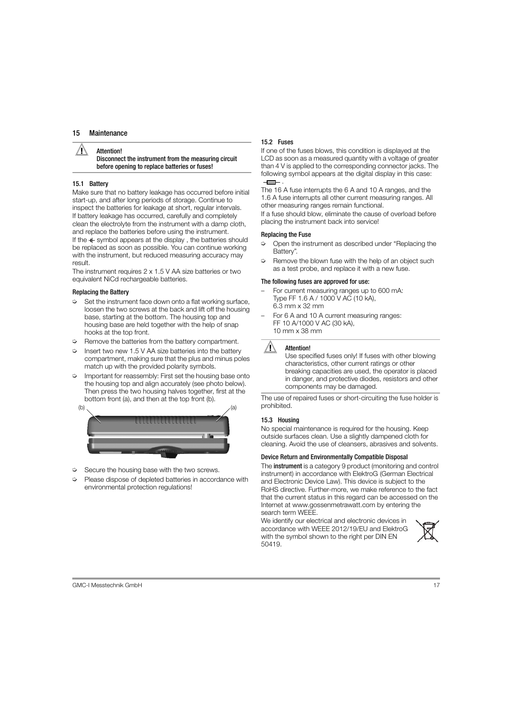#### <span id="page-16-0"></span>Attention!

# Disconnect the instrument from the measuring circuit before opening to replace batteries or fuses!

# <span id="page-16-1"></span>15.1 Battery

Make sure that no battery leakage has occurred before initial start-up, and after long periods of storage. Continue to inspect the batteries for leakage at short, regular intervals. If battery leakage has occurred, carefully and completely clean the electrolyte from the instrument with a damp cloth, and replace the batteries before using the instrument. If the  $\blacksquare$  symbol appears at the display, the batteries should be replaced as soon as possible. You can continue working with the instrument, but reduced measuring accuracy may result.

The instrument requires 2 x 1.5 V AA size batteries or two equivalent NiCd rechargeable batteries.

# Replacing the Battery

- $\heartsuit$  Set the instrument face down onto a flat working surface. loosen the two screws at the back and lift off the housing base, starting at the bottom. The housing top and housing base are held together with the help of snap hooks at the top front.
- ➭ Remove the batteries from the battery compartment.
- Insert two new 1.5 V AA size batteries into the battery compartment, making sure that the plus and minus poles match up with the provided polarity symbols.
- $\heartsuit$  Important for reassembly: First set the housing base onto the housing top and align accurately (see photo below). Then press the two housing halves together, first at the bottom front (a), and then at the top front (b).



- $\heartsuit$  Secure the housing base with the two screws.
- ➭ Please dispose of depleted batteries in accordance with environmental protection regulations!

# <span id="page-16-2"></span>15.2 Fuses

If one of the fuses blows, this condition is displayed at the LCD as soon as a measured quantity with a voltage of greater than 4 V is applied to the corresponding connector jacks. The following symbol appears at the digital display in this case:  $\overline{\phantom{a}}$ .

The 16 A fuse interrupts the 6 A and 10 A ranges, and the 1.6 A fuse interrupts all other current measuring ranges. All other measuring ranges remain functional.

If a fuse should blow, eliminate the cause of overload before placing the instrument back into service!

## Replacing the Fuse

- ➭ Open the instrument as described under "Replacing the Battery".
- $\heartsuit$  Remove the blown fuse with the help of an object such as a test probe, and replace it with a new fuse.

#### The following fuses are approved for use:

- For current measuring ranges up to 600 mA: Type FF 1.6 A / 1000 V AC (10 kA), 6.3 mm x 32 mm
- For 6 A and 10 A current measuring ranges: FF 10 A/1000 V AC (30 kA), 10 mm x 38 mm

# **IN** Attention!

Use specified fuses only! If fuses with other blowing characteristics, other current ratings or other breaking capacities are used, the operator is placed in danger, and protective diodes, resistors and other components may be damaged.

The use of repaired fuses or short-circuiting the fuse holder is prohibited.

# <span id="page-16-3"></span>15.3 Housing

No special maintenance is required for the housing. Keep outside surfaces clean. Use a slightly dampened cloth for cleaning. Avoid the use of cleansers, abrasives and solvents.

# Device Return and Environmentally Compatible Disposal

The instrument is a category 9 product (monitoring and control instrument) in accordance with ElektroG (German Electrical and Electronic Device Law). This device is subject to the RoHS directive. Further-more, we make reference to the fact that the current status in this regard can be accessed on the Internet at www.gossenmetrawatt.com by entering the search term WEEE.

We identify our electrical and electronic devices in accordance with WEEE 2012/19/EU and ElektroG with the symbol shown to the right per DIN EN 50419.

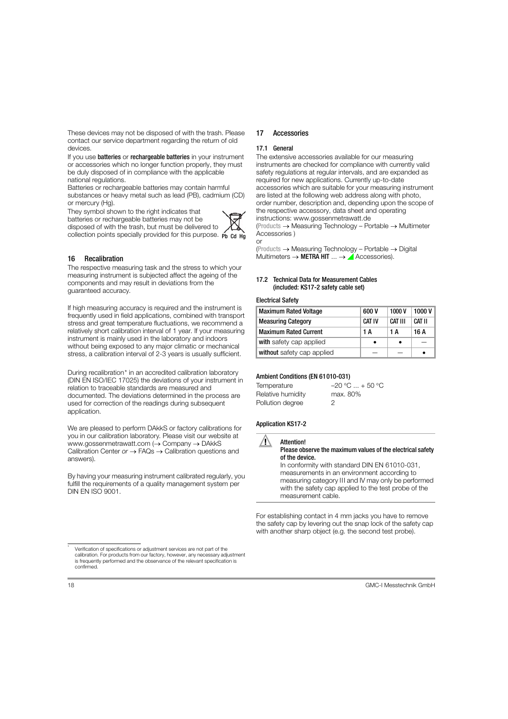These devices may not be disposed of with the trash. Please contact our service department regarding the return of old devices.

If you use **batteries** or **rechargeable batteries** in your instrument or accessories which no longer function properly, they must be duly disposed of in compliance with the applicable national regulations.

Batteries or rechargeable batteries may contain harmful substances or heavy metal such as lead (PB), cadmium (CD) or mercury (Hg).

They symbol shown to the right indicates that batteries or rechargeable batteries may not be disposed of with the trash, but must be delivered to collection points specially provided for this purpose. Pb Cd Hg



or

# <span id="page-17-0"></span>16 Recalibration

The respective measuring task and the stress to which your measuring instrument is subjected affect the ageing of the components and may result in deviations from the guaranteed accuracy.

If high measuring accuracy is required and the instrument is frequently used in field applications, combined with transport stress and great temperature fluctuations, we recommend a relatively short calibration interval of 1 year. If your measuring instrument is mainly used in the laboratory and indoors without being exposed to any major climatic or mechanical stress, a calibration interval of 2-3 years is usually sufficient.

During recalibration\* in an accredited calibration laboratory (DIN EN ISO/IEC 17025) the deviations of your instrument in relation to traceable standards are measured and documented. The deviations determined in the process are used for correction of the readings during subsequent application.

We are pleased to perform DAkkS or factory calibrations for you in our calibration laboratory. Please visit our website at www.gossenmetrawatt.com  $\rightarrow$  Company  $\rightarrow$  DAkkS Calibration Center or  $\rightarrow$  FAQs  $\rightarrow$  Calibration questions and answers).

By having your measuring instrument calibrated regularly, you fulfill the requirements of a quality management system per DIN EN ISO 9001.

# <span id="page-17-1"></span>17 Accessories

# <span id="page-17-2"></span>17.1 General

The extensive accessories available for our measuring instruments are checked for compliance with currently valid safety regulations at regular intervals, and are expanded as required for new applications. Currently up-to-date accessories which are suitable for your measuring instrument are listed at the following web address along with photo, order number, description and, depending upon the scope of the respective accessory, data sheet and operating instructions: www.gossenmetrawatt.de

 $(Products \rightarrow Measuring Technology - Portable \rightarrow Multimeter$ Accessories )

 $(Products \rightarrow Measuring Technology - Portable \rightarrow Digital$ Multimeters  $\rightarrow$  METRA HIT  $\ldots \rightarrow$  Accessories).

# <span id="page-17-3"></span>17.2 Technical Data for Measurement Cables (included: KS17-2 safety cable set)

# Electrical Safety

| <b>Maximum Rated Voltage</b> | 600 V         | 1000V   | 1000V  |
|------------------------------|---------------|---------|--------|
| <b>Measuring Category</b>    | <b>CAT IV</b> | CAT III | CAT II |
| <b>Maximum Rated Current</b> | 1 A           | 1 A     | 16 A   |
| with safety cap applied      |               |         |        |
| without safety cap applied   |               |         |        |

# Ambient Conditions (EN 61010-031)

| Temperature       | $-20 °C  + 50 °C$ |
|-------------------|-------------------|
| Relative humidity | max. 80%          |
| Pollution degree  | 2                 |

# Application KS17-2



# Attention!

#### Please observe the maximum values of the electrical safety of the device.

In conformity with standard DIN EN 61010-031, measurements in an environment according to measuring category III and IV may only be performed with the safety cap applied to the test probe of the measurement cable.

For establishing contact in 4 mm jacks you have to remove the safety cap by levering out the snap lock of the safety cap with another sharp object (e.g. the second test probe).

Verification of specifications or adjustment services are not part of the calibration. For products from our factory, however, any necessary adjustment is frequently performed and the observance of the relevant specification is confirmed.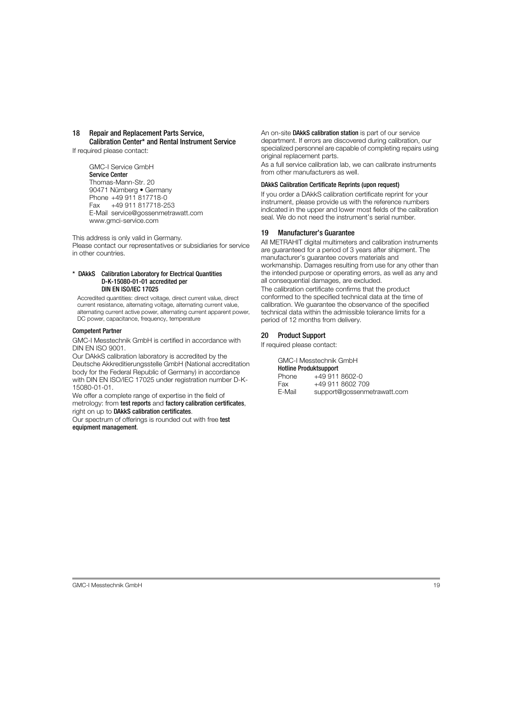# <span id="page-18-0"></span>18 Repair and Replacement Parts Service, Calibration Center\* and Rental Instrument Service

If required please contact:

GMC-I Service GmbH Service Center Thomas-Mann-Str. 20 90471 Nürnberg • Germany Phone +49 911 817718-0 Fax +49 911 817718-253 E-Mail service@gossenmetrawatt.com www.gmci-service.com

This address is only valid in Germany.

Please contact our representatives or subsidiaries for service in other countries.

#### DAkkS Calibration Laboratory for Electrical Quantities D-K-15080-01-01 accredited per DIN EN ISO/IEC 17025

Accredited quantities: direct voltage, direct current value, direct current resistance, alternating voltage, alternating current value, alternating current active power, alternating current apparent power, DC power, capacitance, frequency, temperature

# Competent Partner

GMC-I Messtechnik GmbH is certified in accordance with DIN EN ISO 9001.

Our DAkkS calibration laboratory is accredited by the Deutsche Akkreditierungsstelle GmbH (National accreditation body for the Federal Republic of Germany) in accordance with DIN EN ISO/IEC 17025 under registration number D-K-15080-01-01.

We offer a complete range of expertise in the field of metrology: from test reports and factory calibration certificates, right on up to DAkkS calibration certificates.

Our spectrum of offerings is rounded out with free test equipment management.

An on-site DAkkS calibration station is part of our service department. If errors are discovered during calibration, our specialized personnel are capable of completing repairs using original replacement parts.

As a full service calibration lab, we can calibrate instruments from other manufacturers as well.

# DAkkS Calibration Certificate Reprints (upon request)

If you order a DAkkS calibration certificate reprint for your instrument, please provide us with the reference numbers indicated in the upper and lower most fields of the calibration seal. We do not need the instrument's serial number.

# <span id="page-18-1"></span>19 Manufacturer's Guarantee

All METRAHIT digital multimeters and calibration instruments are guaranteed for a period of 3 years after shipment. The manufacturer's guarantee covers materials and workmanship. Damages resulting from use for any other than the intended purpose or operating errors, as well as any and all consequential damages, are excluded.

The calibration certificate confirms that the product conformed to the specified technical data at the time of calibration. We guarantee the observance of the specified technical data within the admissible tolerance limits for a period of 12 months from delivery.

# <span id="page-18-2"></span>20 Product Support

If required please contact:

GMC-I Messtechnik GmbH Hotline Produktsupport<br>Phone +49.911 Phone +49 911 8602-0 Fax +49 911 8602 709<br>F-Mail support@gossenme support@gossenmetrawatt.com